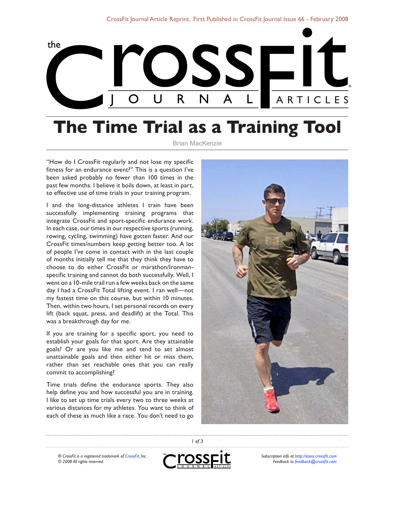

## **The Time Trial as a Training Tool**

Brian MacKenzie

"How do I CrossFit regularly and not lose my specific fitness for an endurance event?" This is a question I've been asked probably no fewer than 100 times in the past few months. I believe it boils down, at least in part, to effective use of time trials in your training program.

I and the long-distance athletes I train have been successfully implementing training programs that integrate CrossFit and sport-specific endurance work. In each case, our times in our respective sports (running, rowing, cycling, swimming) have gotten faster. And our CrossFit times/numbers keep getting better too. A lot of people I've come in contact with in the last couple of months initially tell me that they think they have to choose to do either CrossFit or marathon/Ironmanspecific training and cannot do both successfully. Well, I went on a 10-mile trail run a few weeks back on the same day I had a CrossFit Total lifting event. I ran well—not my fastest time on this course, but within 10 minutes. Then, within two hours, I set personal records on every lift (back squat, press, and deadlift) at the Total. This was a breakthrough day for me.

If you are training for a specific sport, you need to establish your goals for that sport. Are they attainable goals? Or are you like me and tend to set almost unattainable goals and then either hit or miss them, rather than set reachable ones that you can really commit to accomplishing?

Time trials define the endurance sports. They also help define you and how successful you are in training. I like to set up time trials every two to three weeks at various distances for my athletes. You want to think of each of these as much like a race. You don't need to go



*® CrossFit is a registered trademark of [CrossFit,](http://www.crossfit.com) Inc. © 2008 All rights reserved.*



*1 of 3*

*Subscription info at [http://store.crossfit.com](http://journal.crossfit.com) Feedback to [feedback@crossfit.com](mailto:feedback@crossfit.com)*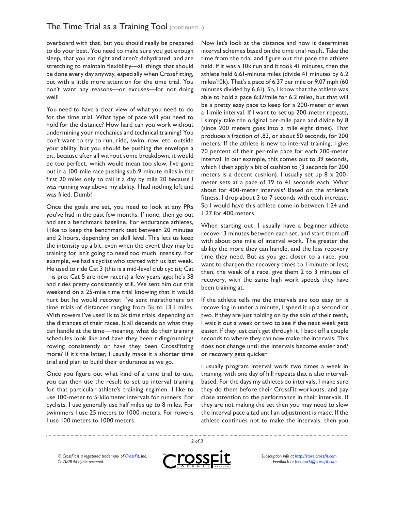overboard with that, but you should really be prepared to do your best. You need to make sure you get enough sleep, that you eat right and aren't dehydrated, and are stretching to maintain flexibility—all things that should be done every day anyway, especially when CrossFitting, but with a little more attention for the time trial. You don't want any reasons—or excuses—for not doing well!

You need to have a clear view of what you need to do for the time trial. What type of pace will you need to hold for the distance? How hard can you work without undermining your mechanics and technical training? You don't want to try to run, ride, swim, row, etc. outside your ability, but you should be pushing the envelope a bit, because after all without some breakdown, it would be too perfect, which would mean too slow. I've gone out in a 100-mile race pushing sub-9-minute miles in the first 20 miles only to call it a day by mile 20 because I was running way above my ability. I had nothing left and was fried. Dumb!

Once the goals are set, you need to look at any PRs you've had in the past few months. If none, then go out and set a benchmark baseline. For endurance athletes, I like to keep the benchmark test between 20 minutes and 2 hours, depending on skill level. This lets us keep the intensity up a bit, even when the event they may be training for isn't going to need too much intensity. For example, we had a cyclist who started with us last week. He used to ride Cat 3 (this is a mid-level club cyclist; Cat 1 is pro; Cat 5 are new racers) a few years ago; he's 38 and rides pretty consistently still. We sent him out this weekend on a 25-mile time trial knowing that it would hurt but he would recover. I've sent marathoners on time trials of distances ranging from 5k to 13.1 miles. With rowers I've used 1k to 5k time trials, depending on the distances of their races. It all depends on what they can handle at the time—meaning, what do their training schedules look like and have they been riding/running/ rowing consistently or have they been CrossFitting more? If it's the latter, I usually make it a shorter time trial and plan to build their endurance as we go.

Once you figure out what kind of a time trial to use, you can then use the result to set up interval training for that particular athlete's training regimen. I like to use 100-meter to 5-kilometer intervals for runners. For cyclists, I use generally use half miles up to 8 miles. For swimmers I use 25 meters to 1000 meters. For rowers I use 100 meters to 1000 meters.

Now let's look at the distance and how it determines interval schemes based on the time trial result. Take the time from the trial and figure out the pace the athlete held. If it was a 10k run and it took 41 minutes, then the athlete held 6.61-minute miles (divide 41 minutes by 6.2 miles/10k). That's a pace of 6:37 per mile or 9.07 mph (60 minutes divided by 6.61). So, I know that the athlete was able to hold a pace 6:37/mile for 6.2 miles, but that will be a pretty easy pace to keep for a 200-meter or even a 1-mile interval. If I want to set up 200-meter repeats, I simply take the original per-mile pace and divide by 8 (since 200 meters goes into a mile eight times). That produces a fraction of .83, or about 50 seconds, for 200 meters. If the athlete is new to interval training, I give 20 percent of their per-mile pace for each 200-meter interval. In our example, this comes out to 39 seconds, which I then apply a bit of cushion to (3 seconds for 200 meters is a decent cushion). I usually set up  $8 \times 200$ meter sets at a pace of 39 to 41 seconds each. What about for 400-meter intervals? Based on the athlete's fitness, I drop about 3 to 7 seconds with each increase. So I would have this athlete come in between 1:24 and 1:27 for 400 meters.

When starting out, I usually have a beginner athlete recover 3 minutes between each set, and start them off with about one mile of interval work. The greater the ability the more they can handle, and the less recovery time they need. But as you get closer to a race, you want to sharpen the recovery times to 1 minute or less; then, the week of a race, give them 2 to 3 minutes of recovery, with the same high work speeds they have been training at.

If the athlete tells me the intervals are too easy or is recovering in under a minute, I speed it up a second or two. If they are just holding on by the skin of their teeth, I wait it out a week or two to see if the next week gets easier. If they just can't get through it, I back off a couple seconds to where they can now make the intervals. This does not change until the intervals become easier and/ or recovery gets quicker.

I usually program interval work two times a week in training, with one day of hill repeats that is also intervalbased. For the days my athletes do intervals, I make sure they do them before their CrossFit workouts, and pay close attention to the performance in their intervals. If they are not making the set then you may need to slow the interval pace a tad until an adjustment is made. If the athlete continues not to make the intervals, then you

*® CrossFit is a registered trademark of [CrossFit,](http://www.crossfit.com) Inc. © 2008 All rights reserved.*



*2 of 3*

*Subscription info at [http://store.crossfit.com](http://journal.crossfit.com) Feedback to [feedback@crossfit.com](mailto:feedback@crossfit.com)*